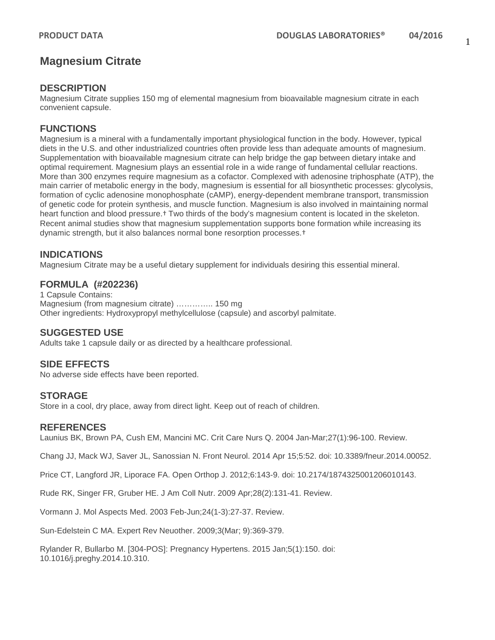# **Magnesium Citrate**

## **DESCRIPTION**

Magnesium Citrate supplies 150 mg of elemental magnesium from bioavailable magnesium citrate in each convenient capsule.

## **FUNCTIONS**

Magnesium is a mineral with a fundamentally important physiological function in the body. However, typical diets in the U.S. and other industrialized countries often provide less than adequate amounts of magnesium. Supplementation with bioavailable magnesium citrate can help bridge the gap between dietary intake and optimal requirement. Magnesium plays an essential role in a wide range of fundamental cellular reactions. More than 300 enzymes require magnesium as a cofactor. Complexed with adenosine triphosphate (ATP), the main carrier of metabolic energy in the body, magnesium is essential for all biosynthetic processes: glycolysis, formation of cyclic adenosine monophosphate (cAMP), energy-dependent membrane transport, transmission of genetic code for protein synthesis, and muscle function. Magnesium is also involved in maintaining normal heart function and blood pressure.† Two thirds of the body's magnesium content is located in the skeleton. Recent animal studies show that magnesium supplementation supports bone formation while increasing its dynamic strength, but it also balances normal bone resorption processes.†

## **INDICATIONS**

Magnesium Citrate may be a useful dietary supplement for individuals desiring this essential mineral.

## **FORMULA (#202236)**

1 Capsule Contains: Magnesium (from magnesium citrate) ………….. 150 mg Other ingredients: Hydroxypropyl methylcellulose (capsule) and ascorbyl palmitate.

### **SUGGESTED USE**

Adults take 1 capsule daily or as directed by a healthcare professional.

### **SIDE EFFECTS**

No adverse side effects have been reported.

### **STORAGE**

Store in a cool, dry place, away from direct light. Keep out of reach of children.

#### **REFERENCES**

Launius BK, Brown PA, Cush EM, Mancini MC. Crit Care Nurs Q. 2004 Jan-Mar;27(1):96-100. Review.

Chang JJ, Mack WJ, Saver JL, Sanossian N. Front Neurol. 2014 Apr 15;5:52. doi: 10.3389/fneur.2014.00052.

Price CT, Langford JR, Liporace FA. Open Orthop J. 2012;6:143-9. doi: 10.2174/1874325001206010143.

Rude RK, Singer FR, Gruber HE. J Am Coll Nutr. 2009 Apr;28(2):131-41. Review.

Vormann J. Mol Aspects Med. 2003 Feb-Jun;24(1-3):27-37. Review.

Sun-Edelstein C MA. Expert Rev Neuother. 2009;3(Mar; 9):369-379.

Rylander R, Bullarbo M. [304-POS]: Pregnancy Hypertens. 2015 Jan;5(1):150. doi: 10.1016/j.preghy.2014.10.310.